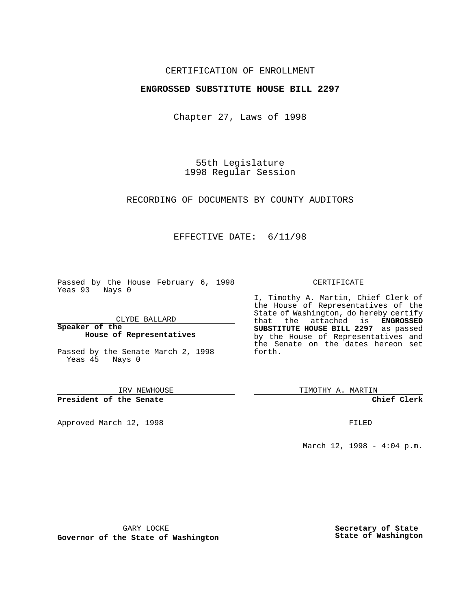## CERTIFICATION OF ENROLLMENT

## **ENGROSSED SUBSTITUTE HOUSE BILL 2297**

Chapter 27, Laws of 1998

55th Legislature 1998 Regular Session

RECORDING OF DOCUMENTS BY COUNTY AUDITORS

## EFFECTIVE DATE: 6/11/98

Passed by the House February 6, 1998 Yeas 93 Nays 0

CLYDE BALLARD

**Speaker of the House of Representatives**

Passed by the Senate March 2, 1998 Yeas 45 Nays 0

IRV NEWHOUSE

**President of the Senate**

Approved March 12, 1998 **FILED** 

### CERTIFICATE

I, Timothy A. Martin, Chief Clerk of the House of Representatives of the State of Washington, do hereby certify that the attached is **ENGROSSED SUBSTITUTE HOUSE BILL 2297** as passed by the House of Representatives and the Senate on the dates hereon set forth.

TIMOTHY A. MARTIN

**Chief Clerk**

March 12, 1998 - 4:04 p.m.

GARY LOCKE

**Governor of the State of Washington**

**Secretary of State State of Washington**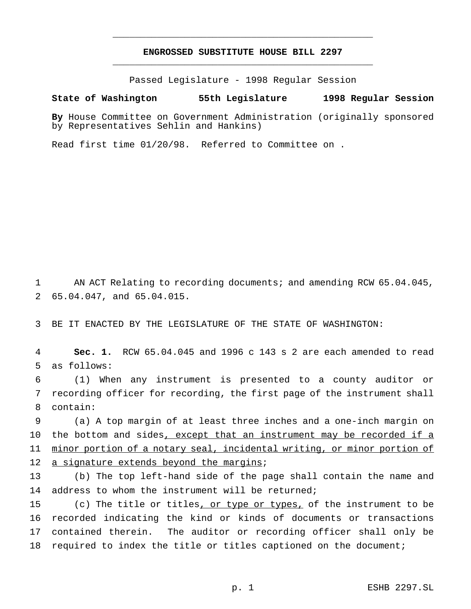# **ENGROSSED SUBSTITUTE HOUSE BILL 2297** \_\_\_\_\_\_\_\_\_\_\_\_\_\_\_\_\_\_\_\_\_\_\_\_\_\_\_\_\_\_\_\_\_\_\_\_\_\_\_\_\_\_\_\_\_\_\_

\_\_\_\_\_\_\_\_\_\_\_\_\_\_\_\_\_\_\_\_\_\_\_\_\_\_\_\_\_\_\_\_\_\_\_\_\_\_\_\_\_\_\_\_\_\_\_

Passed Legislature - 1998 Regular Session

#### **State of Washington 55th Legislature 1998 Regular Session**

**By** House Committee on Government Administration (originally sponsored by Representatives Sehlin and Hankins)

Read first time 01/20/98. Referred to Committee on .

1 AN ACT Relating to recording documents; and amending RCW 65.04.045, 2 65.04.047, and 65.04.015.

3 BE IT ENACTED BY THE LEGISLATURE OF THE STATE OF WASHINGTON:

4 **Sec. 1.** RCW 65.04.045 and 1996 c 143 s 2 are each amended to read 5 as follows:

6 (1) When any instrument is presented to a county auditor or 7 recording officer for recording, the first page of the instrument shall 8 contain:

9 (a) A top margin of at least three inches and a one-inch margin on 10 the bottom and sides, except that an instrument may be recorded if a 11 minor portion of a notary seal, incidental writing, or minor portion of 12 a signature extends beyond the margins;

13 (b) The top left-hand side of the page shall contain the name and 14 address to whom the instrument will be returned;

 (c) The title or titles, or type or types, of the instrument to be recorded indicating the kind or kinds of documents or transactions contained therein. The auditor or recording officer shall only be required to index the title or titles captioned on the document;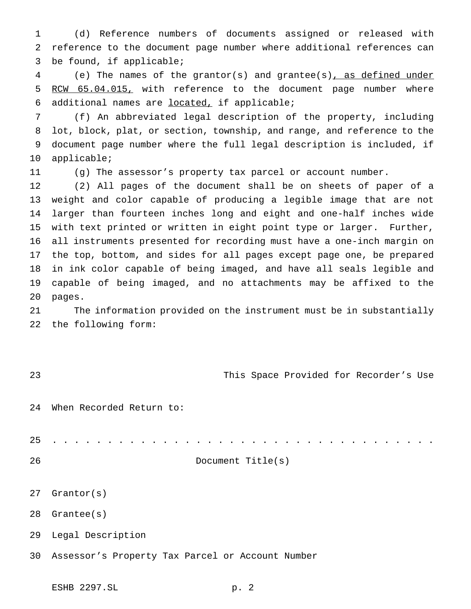(d) Reference numbers of documents assigned or released with reference to the document page number where additional references can be found, if applicable;

 (e) The names of the grantor(s) and grantee(s), as defined under 5 RCW 65.04.015, with reference to the document page number where additional names are located, if applicable;

 (f) An abbreviated legal description of the property, including lot, block, plat, or section, township, and range, and reference to the document page number where the full legal description is included, if applicable;

(g) The assessor's property tax parcel or account number.

 (2) All pages of the document shall be on sheets of paper of a weight and color capable of producing a legible image that are not larger than fourteen inches long and eight and one-half inches wide with text printed or written in eight point type or larger. Further, all instruments presented for recording must have a one-inch margin on the top, bottom, and sides for all pages except page one, be prepared in ink color capable of being imaged, and have all seals legible and capable of being imaged, and no attachments may be affixed to the pages.

 The information provided on the instrument must be in substantially the following form:

This Space Provided for Recorder's Use

When Recorded Return to:

...................................

Grantor(s)

Grantee(s)

Legal Description

Assessor's Property Tax Parcel or Account Number

Document Title(s)

ESHB 2297.SL p. 2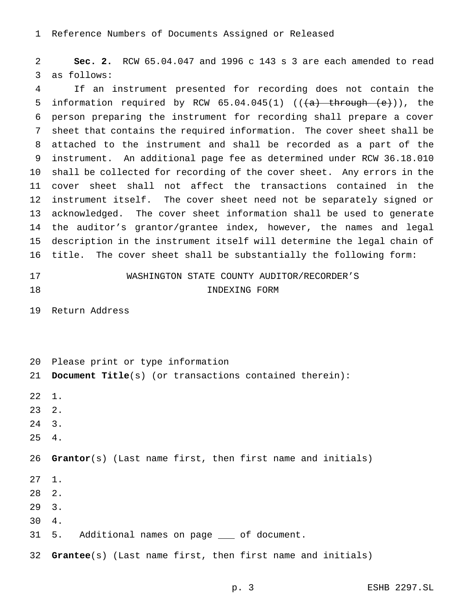Reference Numbers of Documents Assigned or Released

 **Sec. 2.** RCW 65.04.047 and 1996 c 143 s 3 are each amended to read as follows:

 If an instrument presented for recording does not contain the 5 information required by RCW  $65.04.045(1)$  (( $\overline{(a)}$  through  $\overline{(e)}}$ )), the person preparing the instrument for recording shall prepare a cover sheet that contains the required information. The cover sheet shall be attached to the instrument and shall be recorded as a part of the instrument. An additional page fee as determined under RCW 36.18.010 shall be collected for recording of the cover sheet. Any errors in the cover sheet shall not affect the transactions contained in the instrument itself. The cover sheet need not be separately signed or acknowledged. The cover sheet information shall be used to generate the auditor's grantor/grantee index, however, the names and legal description in the instrument itself will determine the legal chain of title. The cover sheet shall be substantially the following form:

 WASHINGTON STATE COUNTY AUDITOR/RECORDER'S INDEXING FORM

Return Address

Please print or type information

 **Document Title**(s) (or transactions contained therein): 1. 2. 3. 4. **Grantor**(s) (Last name first, then first name and initials) 1. 2. 3. 4. 31 5. Additional names on page \_\_\_ of document. **Grantee**(s) (Last name first, then first name and initials)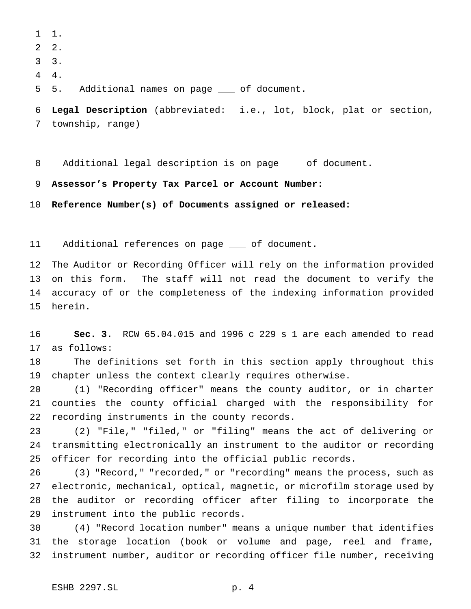1.

- 2.
- 3.
- 4.

5 5. Additional names on page \_\_\_ of document.

 **Legal Description** (abbreviated: i.e., lot, block, plat or section, township, range)

8 Additional legal description is on page  $\quad$  of document.

**Assessor's Property Tax Parcel or Account Number:**

**Reference Number(s) of Documents assigned or released:**

11 Additional references on page \_\_\_ of document.

 The Auditor or Recording Officer will rely on the information provided on this form. The staff will not read the document to verify the accuracy of or the completeness of the indexing information provided herein.

 **Sec. 3.** RCW 65.04.015 and 1996 c 229 s 1 are each amended to read as follows:

 The definitions set forth in this section apply throughout this chapter unless the context clearly requires otherwise.

 (1) "Recording officer" means the county auditor, or in charter counties the county official charged with the responsibility for recording instruments in the county records.

 (2) "File," "filed," or "filing" means the act of delivering or transmitting electronically an instrument to the auditor or recording officer for recording into the official public records.

 (3) "Record," "recorded," or "recording" means the process, such as electronic, mechanical, optical, magnetic, or microfilm storage used by the auditor or recording officer after filing to incorporate the instrument into the public records.

 (4) "Record location number" means a unique number that identifies the storage location (book or volume and page, reel and frame, instrument number, auditor or recording officer file number, receiving